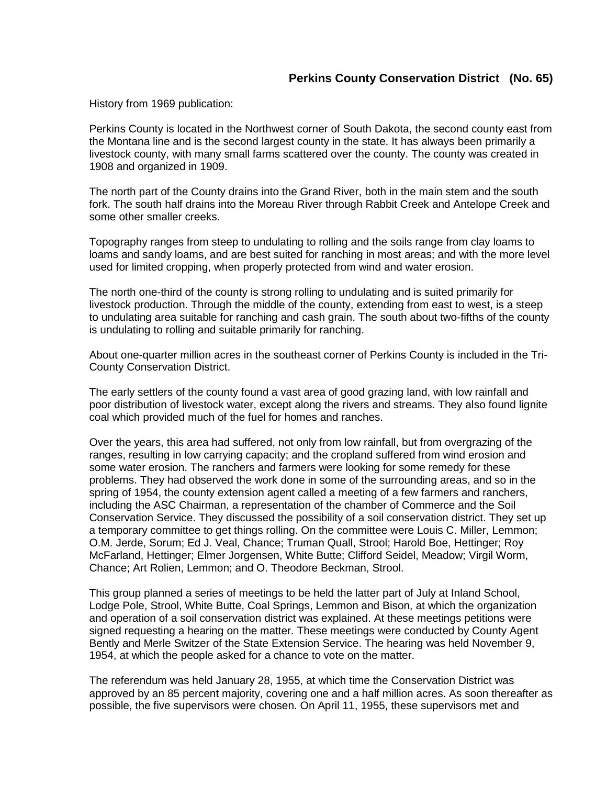History from 1969 publication:

Perkins County is located in the Northwest corner of South Dakota, the second county east from the Montana line and is the second largest county in the state. It has always been primarily a livestock county, with many small farms scattered over the county. The county was created in 1908 and organized in 1909.

The north part of the County drains into the Grand River, both in the main stem and the south fork. The south half drains into the Moreau River through Rabbit Creek and Antelope Creek and some other smaller creeks.

Topography ranges from steep to undulating to rolling and the soils range from clay loams to loams and sandy loams, and are best suited for ranching in most areas; and with the more level used for limited cropping, when properly protected from wind and water erosion.

The north one-third of the county is strong rolling to undulating and is suited primarily for livestock production. Through the middle of the county, extending from east to west, is a steep to undulating area suitable for ranching and cash grain. The south about two-fifths of the county is undulating to rolling and suitable primarily for ranching.

About one-quarter million acres in the southeast corner of Perkins County is included in the Tri-County Conservation District.

The early settlers of the county found a vast area of good grazing land, with low rainfall and poor distribution of livestock water, except along the rivers and streams. They also found lignite coal which provided much of the fuel for homes and ranches.

Over the years, this area had suffered, not only from low rainfall, but from overgrazing of the ranges, resulting in low carrying capacity; and the cropland suffered from wind erosion and some water erosion. The ranchers and farmers were looking for some remedy for these problems. They had observed the work done in some of the surrounding areas, and so in the spring of 1954, the county extension agent called a meeting of a few farmers and ranchers, including the ASC Chairman, a representation of the chamber of Commerce and the Soil Conservation Service. They discussed the possibility of a soil conservation district. They set up a temporary committee to get things rolling. On the committee were Louis C. Miller, Lemmon; O.M. Jerde, Sorum; Ed J. Veal, Chance; Truman Quall, Strool; Harold Boe, Hettinger; Roy McFarland, Hettinger; Elmer Jorgensen, White Butte; Clifford Seidel, Meadow; Virgil Worm, Chance; Art Rolien, Lemmon; and O. Theodore Beckman, Strool.

This group planned a series of meetings to be held the latter part of July at Inland School, Lodge Pole, Strool, White Butte, Coal Springs, Lemmon and Bison, at which the organization and operation of a soil conservation district was explained. At these meetings petitions were signed requesting a hearing on the matter. These meetings were conducted by County Agent Bently and Merle Switzer of the State Extension Service. The hearing was held November 9, 1954, at which the people asked for a chance to vote on the matter.

The referendum was held January 28, 1955, at which time the Conservation District was approved by an 85 percent majority, covering one and a half million acres. As soon thereafter as possible, the five supervisors were chosen. On April 11, 1955, these supervisors met and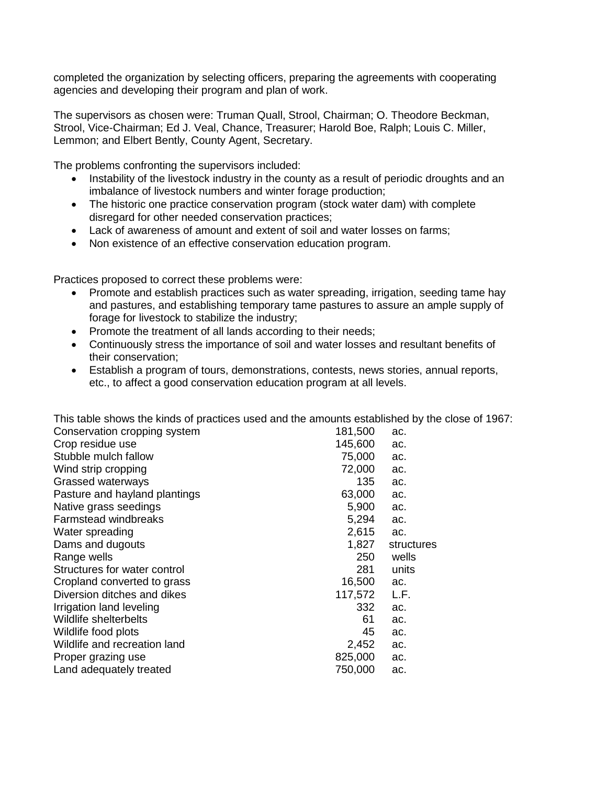completed the organization by selecting officers, preparing the agreements with cooperating agencies and developing their program and plan of work.

The supervisors as chosen were: Truman Quall, Strool, Chairman; O. Theodore Beckman, Strool, Vice-Chairman; Ed J. Veal, Chance, Treasurer; Harold Boe, Ralph; Louis C. Miller, Lemmon; and Elbert Bently, County Agent, Secretary.

The problems confronting the supervisors included:

- Instability of the livestock industry in the county as a result of periodic droughts and an imbalance of livestock numbers and winter forage production;
- The historic one practice conservation program (stock water dam) with complete disregard for other needed conservation practices;
- Lack of awareness of amount and extent of soil and water losses on farms;
- Non existence of an effective conservation education program.

Practices proposed to correct these problems were:

- Promote and establish practices such as water spreading, irrigation, seeding tame hay and pastures, and establishing temporary tame pastures to assure an ample supply of forage for livestock to stabilize the industry;
- Promote the treatment of all lands according to their needs;
- Continuously stress the importance of soil and water losses and resultant benefits of their conservation;
- Establish a program of tours, demonstrations, contests, news stories, annual reports, etc., to affect a good conservation education program at all levels.

This table shows the kinds of practices used and the amounts established by the close of 1967:

| Conservation cropping system  | 181,500 | ac.        |
|-------------------------------|---------|------------|
| Crop residue use              | 145,600 | ac.        |
| Stubble mulch fallow          | 75,000  | ac.        |
| Wind strip cropping           | 72,000  | ac.        |
| Grassed waterways             | 135     | ac.        |
| Pasture and hayland plantings | 63,000  | ac.        |
| Native grass seedings         | 5,900   | ac.        |
| <b>Farmstead windbreaks</b>   | 5,294   | ac.        |
| Water spreading               | 2,615   | ac.        |
| Dams and dugouts              | 1,827   | structures |
| Range wells                   | 250     | wells      |
| Structures for water control  | 281     | units      |
| Cropland converted to grass   | 16,500  | ac.        |
| Diversion ditches and dikes   | 117,572 | L.F.       |
| Irrigation land leveling      | 332     | ac.        |
| Wildlife shelterbelts         | 61      | ac.        |
| Wildlife food plots           | 45      | ac.        |
| Wildlife and recreation land  | 2,452   | ac.        |
| Proper grazing use            | 825,000 | ac.        |
| Land adequately treated       | 750,000 | ac.        |
|                               |         |            |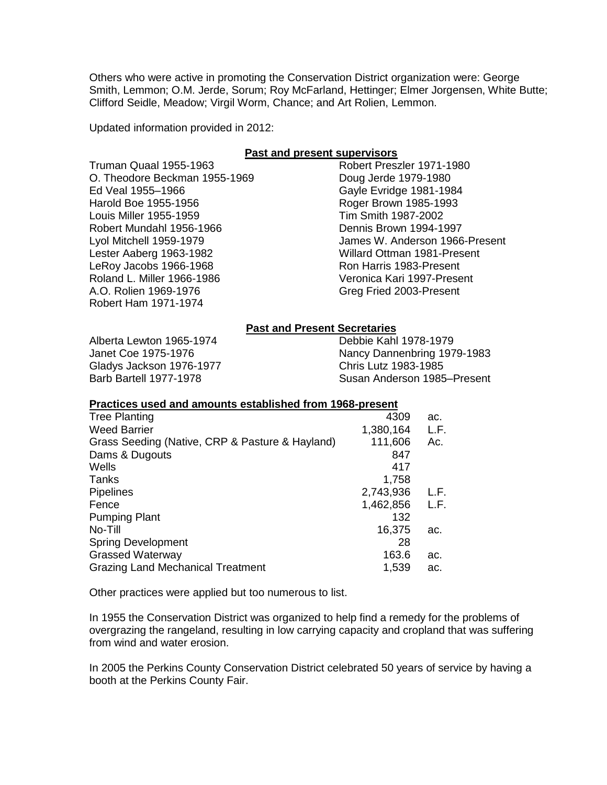Others who were active in promoting the Conservation District organization were: George Smith, Lemmon; O.M. Jerde, Sorum; Roy McFarland, Hettinger; Elmer Jorgensen, White Butte; Clifford Seidle, Meadow; Virgil Worm, Chance; and Art Rolien, Lemmon.

Updated information provided in 2012:

## **Past and present supervisors**

| <u>. aoi and procent caper ricorc</u> |                                |  |
|---------------------------------------|--------------------------------|--|
| Truman Quaal 1955-1963                | Robert Preszler 1971-1980      |  |
| O. Theodore Beckman 1955-1969         | Doug Jerde 1979-1980           |  |
| Ed Veal 1955-1966                     | Gayle Evridge 1981-1984        |  |
| Harold Boe 1955-1956                  | Roger Brown 1985-1993          |  |
| Louis Miller 1955-1959                | Tim Smith 1987-2002            |  |
| Robert Mundahl 1956-1966              | Dennis Brown 1994-1997         |  |
| Lyol Mitchell 1959-1979               | James W. Anderson 1966-Present |  |
| Lester Aaberg 1963-1982               | Willard Ottman 1981-Present    |  |
| LeRoy Jacobs 1966-1968                | Ron Harris 1983-Present        |  |
| Roland L. Miller 1966-1986            | Veronica Kari 1997-Present     |  |
| A.O. Rolien 1969-1976                 | Greg Fried 2003-Present        |  |
| Robert Ham 1971-1974                  |                                |  |

## **Past and Present Secretaries**

Alberta Lewton 1965-1974 Janet Coe 1975-1976 Gladys Jackson 1976-1977 Barb Bartell 1977-1978

Debbie Kahl 1978-1979 Nancy Dannenbring 1979-1983 Chris Lutz 1983-1985 Susan Anderson 1985–Present

## **Practices used and amounts established from 1968-present**

| 4309      | ac.  |
|-----------|------|
| 1,380,164 | L.F. |
| 111,606   | Ac.  |
| 847       |      |
| 417       |      |
| 1,758     |      |
| 2,743,936 | L.F. |
| 1,462,856 | L.F. |
| 132       |      |
| 16,375    | ac.  |
| 28        |      |
| 163.6     | ac.  |
| 1,539     | ac.  |
|           |      |

Other practices were applied but too numerous to list.

In 1955 the Conservation District was organized to help find a remedy for the problems of overgrazing the rangeland, resulting in low carrying capacity and cropland that was suffering from wind and water erosion.

In 2005 the Perkins County Conservation District celebrated 50 years of service by having a booth at the Perkins County Fair.